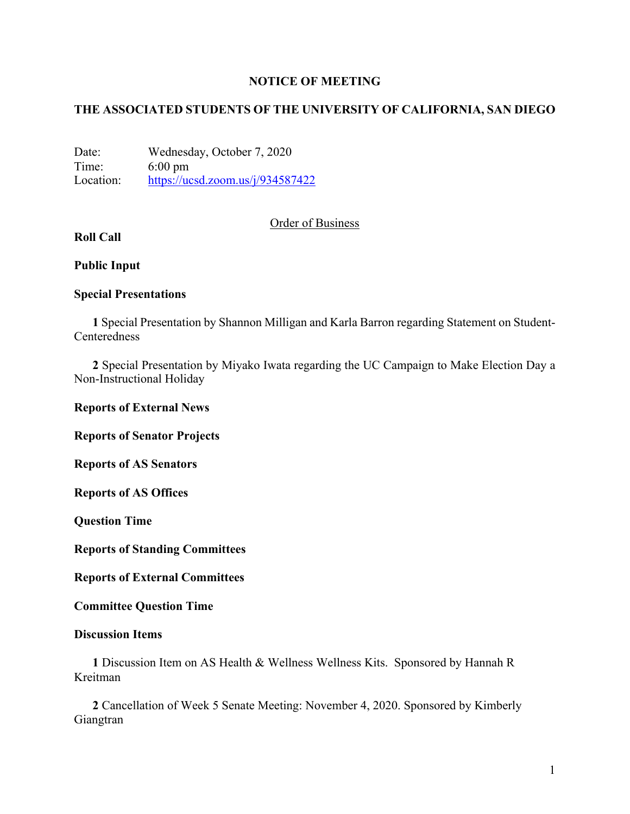## **NOTICE OF MEETING**

# **THE ASSOCIATED STUDENTS OF THE UNIVERSITY OF CALIFORNIA, SAN DIEGO**

Date: Wednesday, October 7, 2020 Time: 6:00 pm Location: https://ucsd.zoom.us/j/934587422

# Order of Business

# **Roll Call**

## **Public Input**

# **Special Presentations**

**1** Special Presentation by Shannon Milligan and Karla Barron regarding Statement on Student-Centeredness

**2** Special Presentation by Miyako Iwata regarding the UC Campaign to Make Election Day a Non-Instructional Holiday

**Reports of External News**

**Reports of Senator Projects**

**Reports of AS Senators**

**Reports of AS Offices**

**Question Time**

**Reports of Standing Committees**

**Reports of External Committees**

**Committee Question Time**

### **Discussion Items**

**1** Discussion Item on AS Health & Wellness Wellness Kits. Sponsored by Hannah R Kreitman

**2** Cancellation of Week 5 Senate Meeting: November 4, 2020. Sponsored by Kimberly Giangtran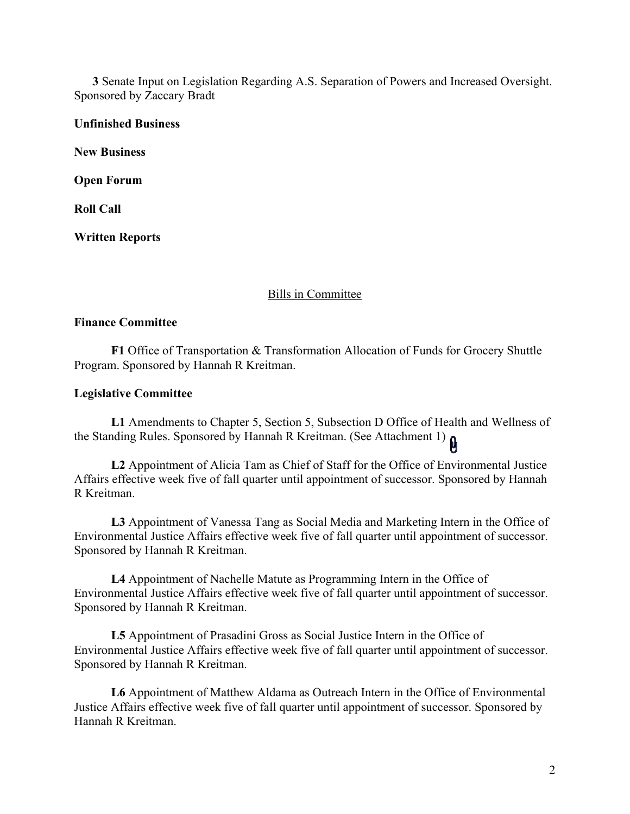**3** Senate Input on Legislation Regarding A.S. Separation of Powers and Increased Oversight. Sponsored by Zaccary Bradt

**Unfinished Business**

**New Business**

**Open Forum**

**Roll Call**

**Written Reports**

### Bills in Committee

## **Finance Committee**

**F1** Office of Transportation & Transformation Allocation of Funds for Grocery Shuttle Program. Sponsored by Hannah R Kreitman.

#### **Legislative Committee**

**L1** Amendments to Chapter 5, Section 5, Subsection D Office of Health and Wellness of the Standing Rules. Sponsored by Hannah R Kreitman. (See Attachment 1)

**L2** Appointment of Alicia Tam as Chief of Staff for the Office of Environmental Justice Affairs effective week five of fall quarter until appointment of successor. Sponsored by Hannah R Kreitman.

**L3** Appointment of Vanessa Tang as Social Media and Marketing Intern in the Office of Environmental Justice Affairs effective week five of fall quarter until appointment of successor. Sponsored by Hannah R Kreitman.

**L4** Appointment of Nachelle Matute as Programming Intern in the Office of Environmental Justice Affairs effective week five of fall quarter until appointment of successor. Sponsored by Hannah R Kreitman.

**L5** Appointment of Prasadini Gross as Social Justice Intern in the Office of Environmental Justice Affairs effective week five of fall quarter until appointment of successor. Sponsored by Hannah R Kreitman.

**L6** Appointment of Matthew Aldama as Outreach Intern in the Office of Environmental Justice Affairs effective week five of fall quarter until appointment of successor. Sponsored by Hannah R Kreitman.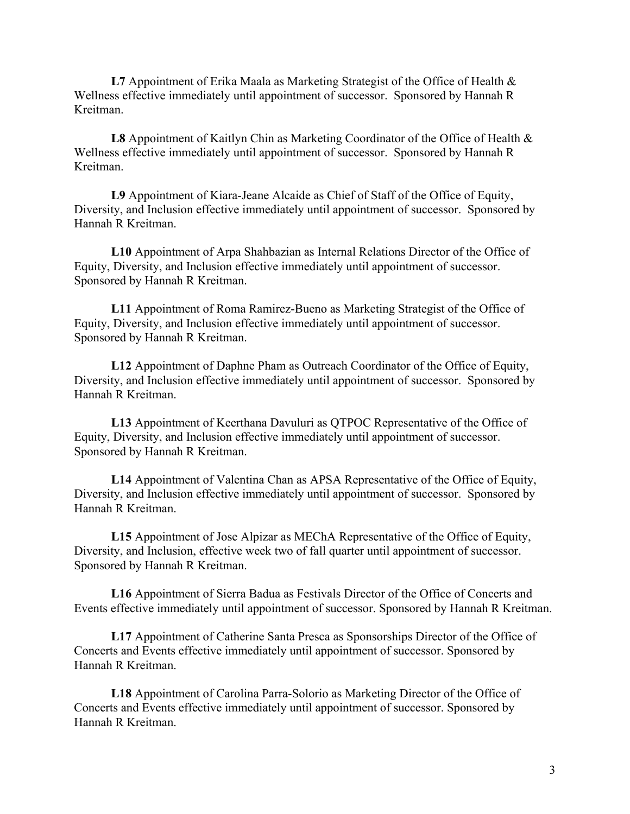**L7** Appointment of Erika Maala as Marketing Strategist of the Office of Health & Wellness effective immediately until appointment of successor. Sponsored by Hannah R Kreitman.

**L8** Appointment of Kaitlyn Chin as Marketing Coordinator of the Office of Health & Wellness effective immediately until appointment of successor. Sponsored by Hannah R Kreitman.

**L9** Appointment of Kiara-Jeane Alcaide as Chief of Staff of the Office of Equity, Diversity, and Inclusion effective immediately until appointment of successor. Sponsored by Hannah R Kreitman.

**L10** Appointment of Arpa Shahbazian as Internal Relations Director of the Office of Equity, Diversity, and Inclusion effective immediately until appointment of successor. Sponsored by Hannah R Kreitman.

**L11** Appointment of Roma Ramirez-Bueno as Marketing Strategist of the Office of Equity, Diversity, and Inclusion effective immediately until appointment of successor. Sponsored by Hannah R Kreitman.

**L12** Appointment of Daphne Pham as Outreach Coordinator of the Office of Equity, Diversity, and Inclusion effective immediately until appointment of successor. Sponsored by Hannah R Kreitman.

**L13** Appointment of Keerthana Davuluri as QTPOC Representative of the Office of Equity, Diversity, and Inclusion effective immediately until appointment of successor. Sponsored by Hannah R Kreitman.

**L14** Appointment of Valentina Chan as APSA Representative of the Office of Equity, Diversity, and Inclusion effective immediately until appointment of successor. Sponsored by Hannah R Kreitman.

**L15** Appointment of Jose Alpizar as MEChA Representative of the Office of Equity, Diversity, and Inclusion, effective week two of fall quarter until appointment of successor. Sponsored by Hannah R Kreitman.

**L16** Appointment of Sierra Badua as Festivals Director of the Office of Concerts and Events effective immediately until appointment of successor. Sponsored by Hannah R Kreitman.

**L17** Appointment of Catherine Santa Presca as Sponsorships Director of the Office of Concerts and Events effective immediately until appointment of successor. Sponsored by Hannah R Kreitman.

**L18** Appointment of Carolina Parra-Solorio as Marketing Director of the Office of Concerts and Events effective immediately until appointment of successor. Sponsored by Hannah R Kreitman.